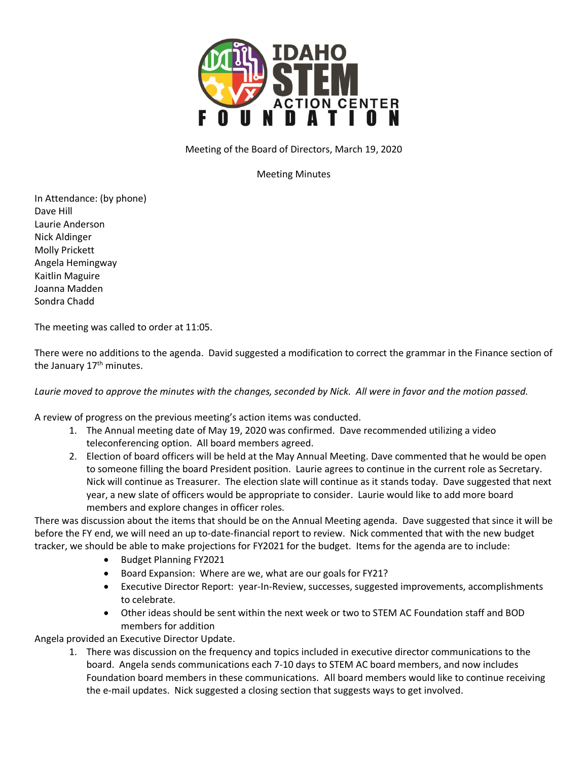

Meeting of the Board of Directors, March 19, 2020

Meeting Minutes

In Attendance: (by phone) Dave Hill Laurie Anderson Nick Aldinger Molly Prickett Angela Hemingway Kaitlin Maguire Joanna Madden Sondra Chadd

The meeting was called to order at 11:05.

There were no additions to the agenda. David suggested a modification to correct the grammar in the Finance section of the January  $17<sup>th</sup>$  minutes.

Laurie moved to approve the minutes with the changes, seconded by Nick. All were in favor and the motion passed.

A review of progress on the previous meeting's action items was conducted.

- 1. The Annual meeting date of May 19, 2020 was confirmed. Dave recommended utilizing a video teleconferencing option. All board members agreed.
- 2. Election of board officers will be held at the May Annual Meeting. Dave commented that he would be open to someone filling the board President position. Laurie agrees to continue in the current role as Secretary. Nick will continue as Treasurer. The election slate will continue as it stands today. Dave suggested that next year, a new slate of officers would be appropriate to consider. Laurie would like to add more board members and explore changes in officer roles.

There was discussion about the items that should be on the Annual Meeting agenda. Dave suggested that since it will be before the FY end, we will need an up to-date-financial report to review. Nick commented that with the new budget tracker, we should be able to make projections for FY2021 for the budget. Items for the agenda are to include:

- Budget Planning FY2021
- Board Expansion: Where are we, what are our goals for FY21?
- Executive Director Report: year-In-Review, successes, suggested improvements, accomplishments to celebrate.
- Other ideas should be sent within the next week or two to STEM AC Foundation staff and BOD members for addition

Angela provided an Executive Director Update.

1. There was discussion on the frequency and topics included in executive director communications to the board. Angela sends communications each 7-10 days to STEM AC board members, and now includes Foundation board members in these communications. All board members would like to continue receiving the e-mail updates. Nick suggested a closing section that suggests ways to get involved.